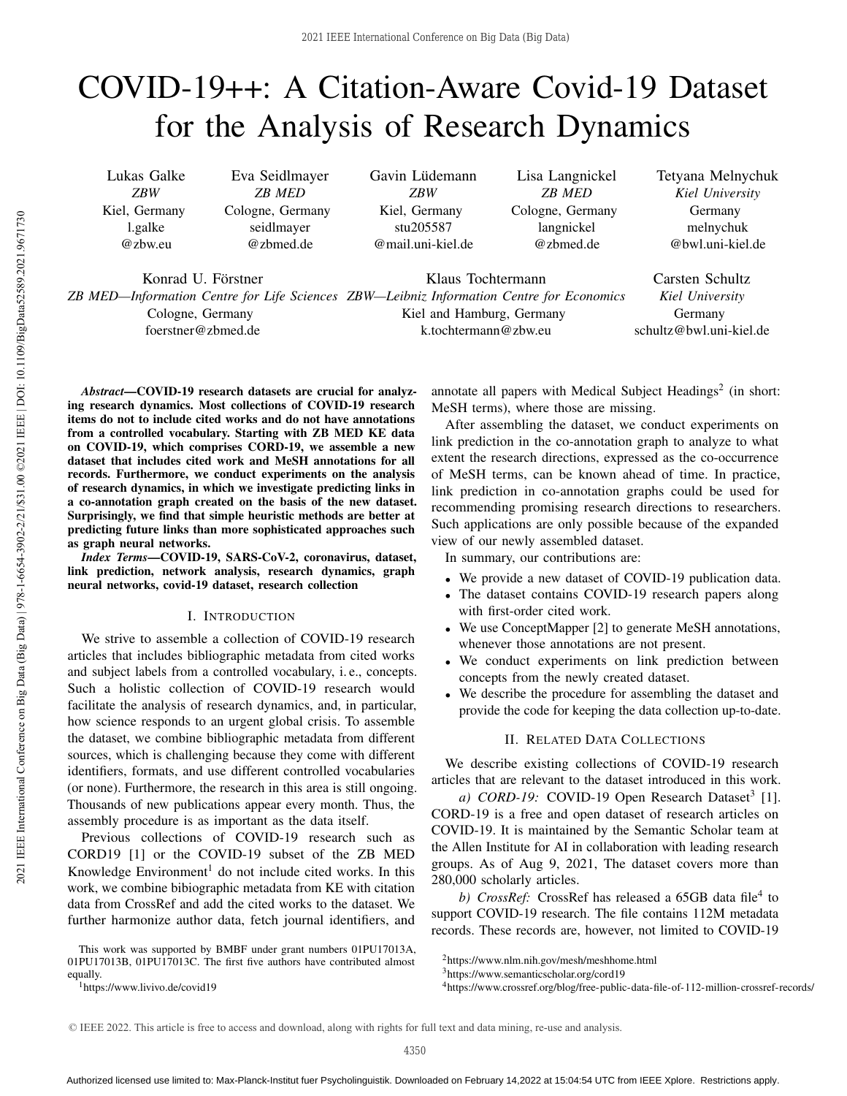# COVID-19++: A Citation-Aware Covid-19 Dataset for the Analysis of Research Dynamics

Lukas Galke *ZBW* Kiel, Germany l.galke @zbw.eu

Eva Seidlmayer *ZB MED* Cologne, Germany seidlmayer @zbmed.de

Gavin Lüdemann *ZBW* Kiel, Germany stu205587 @mail.uni-kiel.de

Lisa Langnickel *ZB MED* Cologne, Germany langnickel @zbmed.de

Tetyana Melnychuk *Kiel University* Germany melnychuk @bwl.uni-kiel.de

Konrad U. Förstner

Cologne, Germany foerstner@zbmed.de

*ZB MED—Information Centre for Life Sciences ZBW—Leibniz Information Centre for Economics* Klaus Tochtermann Kiel and Hamburg, Germany k.tochtermann@zbw.eu

Carsten Schultz *Kiel University* Germany schultz@bwl.uni-kiel.de

*Abstract*—COVID-19 research datasets are crucial for analyzing research dynamics. Most collections of COVID-19 research items do not to include cited works and do not have annotations from a controlled vocabulary. Starting with ZB MED KE data on COVID-19, which comprises CORD-19, we assemble a new dataset that includes cited work and MeSH annotations for all records. Furthermore, we conduct experiments on the analysis of research dynamics, in which we investigate predicting links in a co-annotation graph created on the basis of the new dataset. Surprisingly, we find that simple heuristic methods are better at predicting future links than more sophisticated approaches such as graph neural networks.

*Index Terms*—COVID-19, SARS-CoV-2, coronavirus, dataset, link prediction, network analysis, research dynamics, graph neural networks, covid-19 dataset, research collection

## I. INTRODUCTION

We strive to assemble a collection of COVID-19 research articles that includes bibliographic metadata from cited works and subject labels from a controlled vocabulary, i. e., concepts. Such a holistic collection of COVID-19 research would facilitate the analysis of research dynamics, and, in particular, how science responds to an urgent global crisis. To assemble the dataset, we combine bibliographic metadata from different sources, which is challenging because they come with different identifiers, formats, and use different controlled vocabularies (or none). Furthermore, the research in this area is still ongoing. Thousands of new publications appear every month. Thus, the assembly procedure is as important as the data itself.

Previous collections of COVID-19 research such as CORD19 [1] or the COVID-19 subset of the ZB MED Knowledge Environment<sup>1</sup> do not include cited works. In this work, we combine bibiographic metadata from KE with citation data from CrossRef and add the cited works to the dataset. We further harmonize author data, fetch journal identifiers, and

<sup>1</sup>https://www.livivo.de/covid19

annotate all papers with Medical Subject Headings<sup>2</sup> (in short: MeSH terms), where those are missing.

After assembling the dataset, we conduct experiments on link prediction in the co-annotation graph to analyze to what extent the research directions, expressed as the co-occurrence of MeSH terms, can be known ahead of time. In practice, link prediction in co-annotation graphs could be used for recommending promising research directions to researchers. Such applications are only possible because of the expanded view of our newly assembled dataset.

In summary, our contributions are:

- We provide a new dataset of COVID-19 publication data.
- The dataset contains COVID-19 research papers along with first-order cited work.
- We use ConceptMapper [2] to generate MeSH annotations, whenever those annotations are not present.
- We conduct experiments on link prediction between concepts from the newly created dataset.
- We describe the procedure for assembling the dataset and provide the code for keeping the data collection up-to-date.

## II. RELATED DATA COLLECTIONS

We describe existing collections of COVID-19 research articles that are relevant to the dataset introduced in this work.

a) CORD-19: COVID-19 Open Research Dataset<sup>3</sup> [1]. CORD-19 is a free and open dataset of research articles on COVID-19. It is maintained by the Semantic Scholar team at the Allen Institute for AI in collaboration with leading research groups. As of Aug 9, 2021, The dataset covers more than 280,000 scholarly articles.

b) CrossRef: CrossRef has released a 65GB data file<sup>4</sup> to support COVID-19 research. The file contains 112M metadata records. These records are, however, not limited to COVID-19

This work was supported by BMBF under grant numbers 01PU17013A, 01PU17013B, 01PU17013C. The first five authors have contributed almost equally.

<sup>2</sup>https://www.nlm.nih.gov/mesh/meshhome.html

<sup>3</sup>https://www.semanticscholar.org/cord19

<sup>4</sup>https://www.crossref.org/blog/free-public-data-file-of-112-million-crossref-records/

<sup>©</sup> IEEE 2022. This article is free to access and download, along with rights for full text and data mining, re-use and analysis.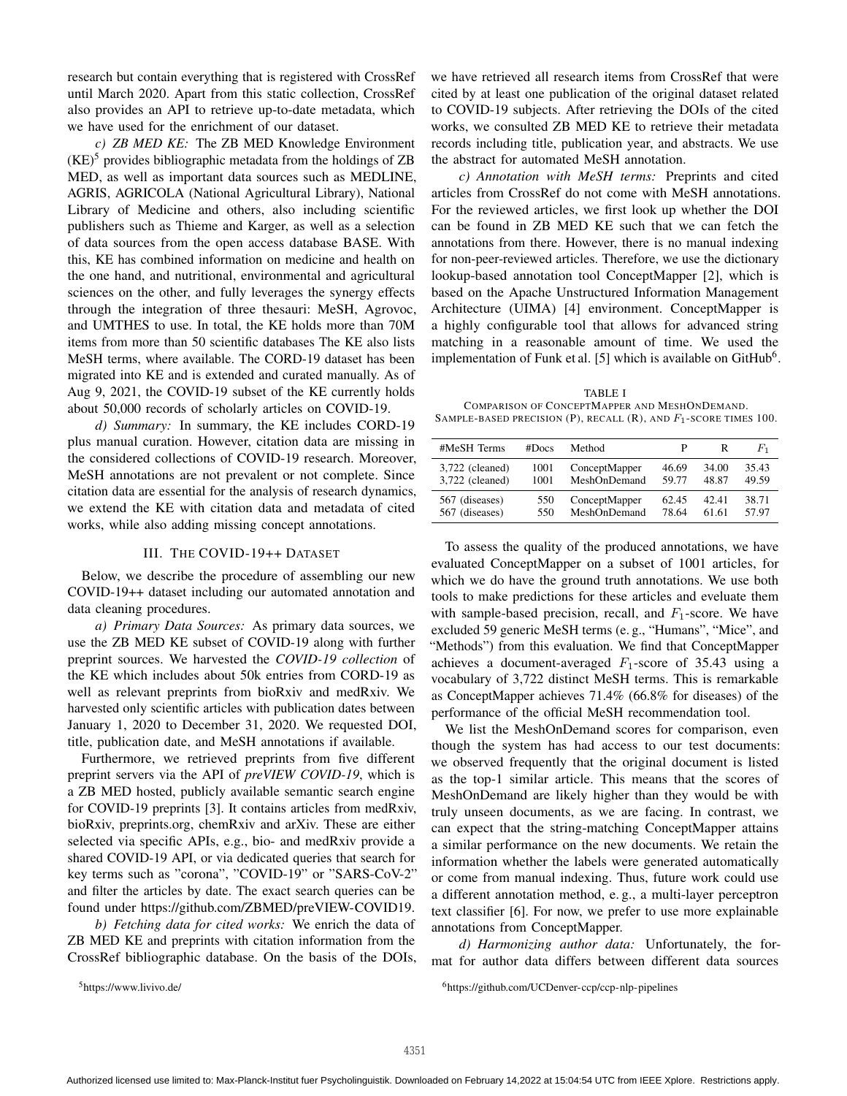research but contain everything that is registered with CrossRef until March 2020. Apart from this static collection, CrossRef also provides an API to retrieve up-to-date metadata, which we have used for the enrichment of our dataset.

*c) ZB MED KE:* The ZB MED Knowledge Environment  $(KE)^5$  provides bibliographic metadata from the holdings of ZB MED, as well as important data sources such as MEDLINE, AGRIS, AGRICOLA (National Agricultural Library), National Library of Medicine and others, also including scientific publishers such as Thieme and Karger, as well as a selection of data sources from the open access database BASE. With this, KE has combined information on medicine and health on the one hand, and nutritional, environmental and agricultural sciences on the other, and fully leverages the synergy effects through the integration of three thesauri: MeSH, Agrovoc, and UMTHES to use. In total, the KE holds more than 70M items from more than 50 scientific databases The KE also lists MeSH terms, where available. The CORD-19 dataset has been migrated into KE and is extended and curated manually. As of Aug 9, 2021, the COVID-19 subset of the KE currently holds about 50,000 records of scholarly articles on COVID-19.

*d) Summary:* In summary, the KE includes CORD-19 plus manual curation. However, citation data are missing in the considered collections of COVID-19 research. Moreover, MeSH annotations are not prevalent or not complete. Since citation data are essential for the analysis of research dynamics, we extend the KE with citation data and metadata of cited works, while also adding missing concept annotations.

### III. THE COVID-19++ DATASET

Below, we describe the procedure of assembling our new COVID-19++ dataset including our automated annotation and data cleaning procedures.

*a) Primary Data Sources:* As primary data sources, we use the ZB MED KE subset of COVID-19 along with further preprint sources. We harvested the *COVID-19 collection* of the KE which includes about 50k entries from CORD-19 as well as relevant preprints from bioRxiv and medRxiv. We harvested only scientific articles with publication dates between January 1, 2020 to December 31, 2020. We requested DOI, title, publication date, and MeSH annotations if available.

Furthermore, we retrieved preprints from five different preprint servers via the API of *preVIEW COVID-19*, which is a ZB MED hosted, publicly available semantic search engine for COVID-19 preprints [3]. It contains articles from medRxiv, bioRxiv, preprints.org, chemRxiv and arXiv. These are either selected via specific APIs, e.g., bio- and medRxiv provide a shared COVID-19 API, or via dedicated queries that search for key terms such as "corona", "COVID-19" or "SARS-CoV-2" and filter the articles by date. The exact search queries can be found under https://github.com/ZBMED/preVIEW-COVID19.

*b) Fetching data for cited works:* We enrich the data of ZB MED KE and preprints with citation information from the CrossRef bibliographic database. On the basis of the DOIs, we have retrieved all research items from CrossRef that were cited by at least one publication of the original dataset related to COVID-19 subjects. After retrieving the DOIs of the cited works, we consulted ZB MED KE to retrieve their metadata records including title, publication year, and abstracts. We use the abstract for automated MeSH annotation.

*c) Annotation with MeSH terms:* Preprints and cited articles from CrossRef do not come with MeSH annotations. For the reviewed articles, we first look up whether the DOI can be found in ZB MED KE such that we can fetch the annotations from there. However, there is no manual indexing for non-peer-reviewed articles. Therefore, we use the dictionary lookup-based annotation tool ConceptMapper [2], which is based on the Apache Unstructured Information Management Architecture (UIMA) [4] environment. ConceptMapper is a highly configurable tool that allows for advanced string matching in a reasonable amount of time. We used the implementation of Funk et al. [5] which is available on GitHub<sup>6</sup>.

TABLE I COMPARISON OF CONCEPTMAPPER AND MESHONDEMAND. SAMPLE-BASED PRECISION (P), RECALL  $(R)$ , AND  $F_1$ -SCORE TIMES 100.

| #MeSH Terms     | #Docs | Method        | P     | R     | F1    |
|-----------------|-------|---------------|-------|-------|-------|
| 3,722 (cleaned) | 1001  | ConceptMapper | 46.69 | 34.00 | 35.43 |
| 3,722 (cleaned) | 1001  | MeshOnDemand  | 59.77 | 48.87 | 49.59 |
| 567 (diseases)  | 550   | ConceptMapper | 62.45 | 42.41 | 38.71 |
| 567 (diseases)  | 550   | MeshOnDemand  | 78.64 | 61.61 | 57.97 |

To assess the quality of the produced annotations, we have evaluated ConceptMapper on a subset of 1001 articles, for which we do have the ground truth annotations. We use both tools to make predictions for these articles and eveluate them with sample-based precision, recall, and  $F_1$ -score. We have excluded 59 generic MeSH terms (e. g., "Humans", "Mice", and "Methods") from this evaluation. We find that ConceptMapper achieves a document-averaged  $F_1$ -score of 35.43 using a vocabulary of 3,722 distinct MeSH terms. This is remarkable as ConceptMapper achieves 71.4% (66.8% for diseases) of the performance of the official MeSH recommendation tool.

We list the MeshOnDemand scores for comparison, even though the system has had access to our test documents: we observed frequently that the original document is listed as the top-1 similar article. This means that the scores of MeshOnDemand are likely higher than they would be with truly unseen documents, as we are facing. In contrast, we can expect that the string-matching ConceptMapper attains a similar performance on the new documents. We retain the information whether the labels were generated automatically or come from manual indexing. Thus, future work could use a different annotation method, e. g., a multi-layer perceptron text classifier [6]. For now, we prefer to use more explainable annotations from ConceptMapper.

*d) Harmonizing author data:* Unfortunately, the format for author data differs between different data sources

<sup>5</sup>https://www.livivo.de/

<sup>6</sup>https://github.com/UCDenver-ccp/ccp-nlp-pipelines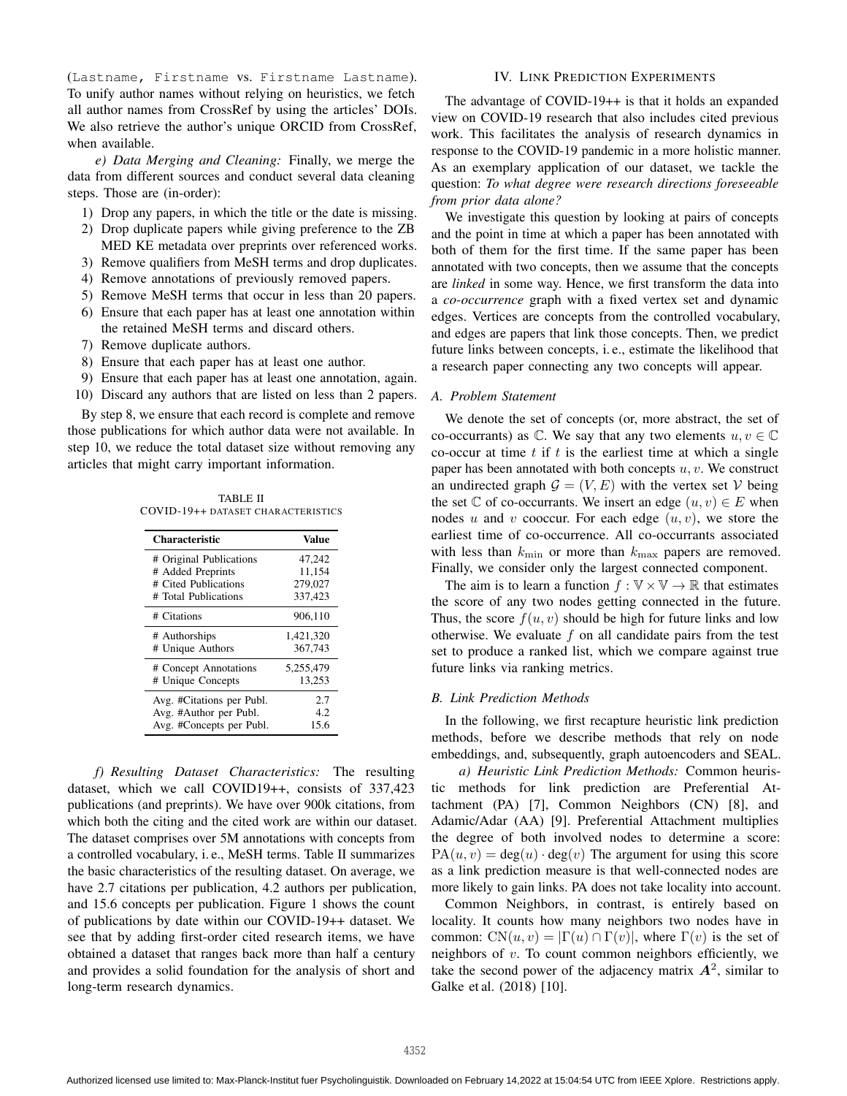(Lastname, Firstname vs. Firstname Lastname). To unify author names without relying on heuristics, we fetch all author names from CrossRef by using the articles' DOIs. We also retrieve the author's unique ORCID from CrossRef, when available.

*e) Data Merging and Cleaning:* Finally, we merge the data from different sources and conduct several data cleaning steps. Those are (in-order):

- 1) Drop any papers, in which the title or the date is missing.
- 2) Drop duplicate papers while giving preference to the ZB MED KE metadata over preprints over referenced works.
- 3) Remove qualifiers from MeSH terms and drop duplicates.
- 4) Remove annotations of previously removed papers.
- 5) Remove MeSH terms that occur in less than 20 papers.
- 6) Ensure that each paper has at least one annotation within the retained MeSH terms and discard others.
- 7) Remove duplicate authors.
- 8) Ensure that each paper has at least one author.
- 9) Ensure that each paper has at least one annotation, again.
- 10) Discard any authors that are listed on less than 2 papers.

By step 8, we ensure that each record is complete and remove those publications for which author data were not available. In step 10, we reduce the total dataset size without removing any articles that might carry important information.

TABLE II COVID-19++ DATASET CHARACTERISTICS

| Characteristic            | Value     |
|---------------------------|-----------|
| # Original Publications   | 47,242    |
| # Added Preprints         | 11.154    |
| # Cited Publications      | 279,027   |
| # Total Publications      | 337.423   |
| # Citations               | 906,110   |
| # Authorships             | 1,421,320 |
| # Unique Authors          | 367,743   |
| # Concept Annotations     | 5,255,479 |
| # Unique Concepts         | 13.253    |
| Avg. #Citations per Publ. | 2.7       |
| Avg. #Author per Publ.    | 4.2       |
| Avg. #Concepts per Publ.  | 15.6      |

*f) Resulting Dataset Characteristics:* The resulting dataset, which we call COVID19++, consists of 337,423 publications (and preprints). We have over 900k citations, from which both the citing and the cited work are within our dataset. The dataset comprises over 5M annotations with concepts from a controlled vocabulary, i. e., MeSH terms. Table II summarizes the basic characteristics of the resulting dataset. On average, we have 2.7 citations per publication, 4.2 authors per publication, and 15.6 concepts per publication. Figure 1 shows the count of publications by date within our COVID-19++ dataset. We see that by adding first-order cited research items, we have obtained a dataset that ranges back more than half a century and provides a solid foundation for the analysis of short and long-term research dynamics.

## IV. LINK PREDICTION EXPERIMENTS

The advantage of COVID-19++ is that it holds an expanded view on COVID-19 research that also includes cited previous work. This facilitates the analysis of research dynamics in response to the COVID-19 pandemic in a more holistic manner. As an exemplary application of our dataset, we tackle the question: *To what degree were research directions foreseeable from prior data alone?*

We investigate this question by looking at pairs of concepts and the point in time at which a paper has been annotated with both of them for the first time. If the same paper has been annotated with two concepts, then we assume that the concepts are *linked* in some way. Hence, we first transform the data into a *co-occurrence* graph with a fixed vertex set and dynamic edges. Vertices are concepts from the controlled vocabulary, and edges are papers that link those concepts. Then, we predict future links between concepts, i. e., estimate the likelihood that a research paper connecting any two concepts will appear.

## *A. Problem Statement*

We denote the set of concepts (or, more abstract, the set of co-occurrants) as  $\mathbb C$ . We say that any two elements  $u, v \in \mathbb C$ co-occur at time  $t$  if  $t$  is the earliest time at which a single paper has been annotated with both concepts  $u, v$ . We construct an undirected graph  $G = (V, E)$  with the vertex set V being the set  $\mathbb C$  of co-occurrants. We insert an edge  $(u, v) \in E$  when nodes u and v cooccur. For each edge  $(u, v)$ , we store the earliest time of co-occurrence. All co-occurrants associated with less than  $k_{\min}$  or more than  $k_{\max}$  papers are removed. Finally, we consider only the largest connected component.

The aim is to learn a function  $f : \mathbb{V} \times \mathbb{V} \to \mathbb{R}$  that estimates the score of any two nodes getting connected in the future. Thus, the score  $f(u, v)$  should be high for future links and low otherwise. We evaluate  $f$  on all candidate pairs from the test set to produce a ranked list, which we compare against true future links via ranking metrics.

## *B. Link Prediction Methods*

In the following, we first recapture heuristic link prediction methods, before we describe methods that rely on node embeddings, and, subsequently, graph autoencoders and SEAL.

*a) Heuristic Link Prediction Methods:* Common heuristic methods for link prediction are Preferential Attachment (PA) [7], Common Neighbors (CN) [8], and Adamic/Adar (AA) [9]. Preferential Attachment multiplies the degree of both involved nodes to determine a score:  $PA(u, v) = deg(u) \cdot deg(v)$  The argument for using this score as a link prediction measure is that well-connected nodes are more likely to gain links. PA does not take locality into account.

Common Neighbors, in contrast, is entirely based on locality. It counts how many neighbors two nodes have in common:  $CN(u, v) = |\Gamma(u) \cap \Gamma(v)|$ , where  $\Gamma(v)$  is the set of neighbors of  $v$ . To count common neighbors efficiently, we take the second power of the adjacency matrix  $A^2$ , similar to Galke et al. (2018) [10].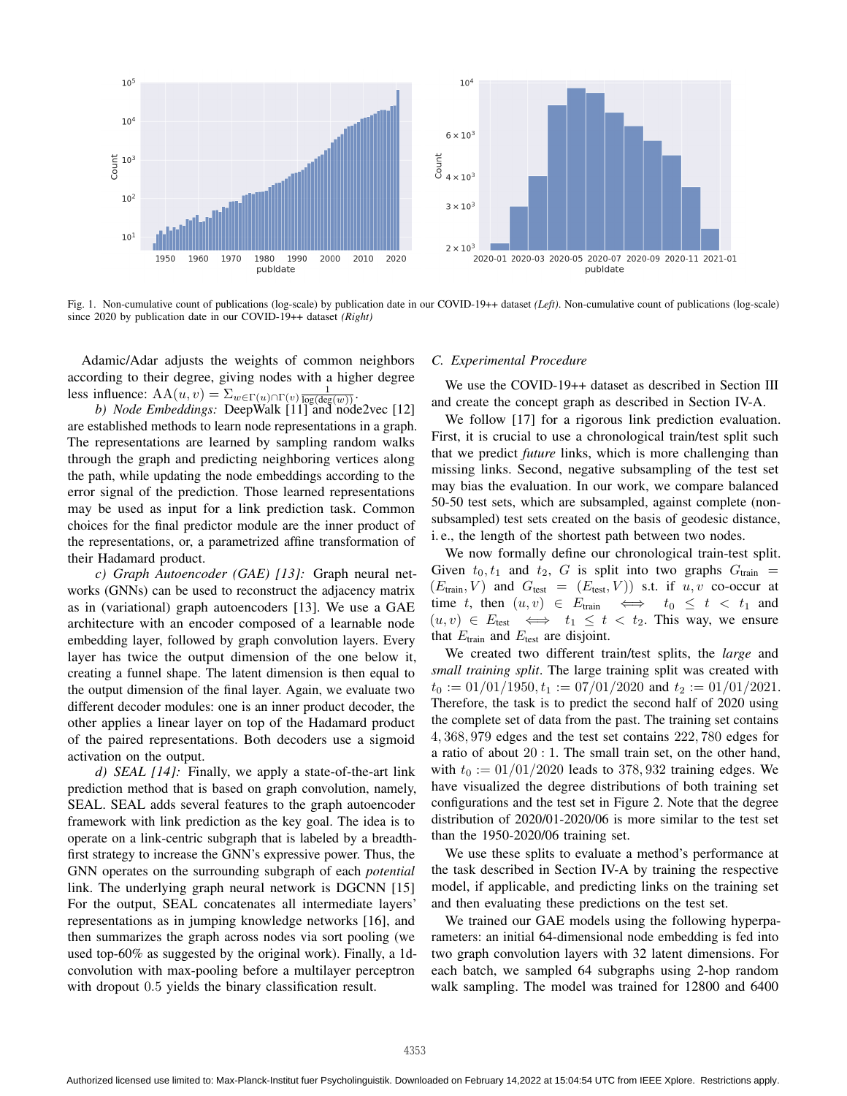

Fig. 1. Non-cumulative count of publications (log-scale) by publication date in our COVID-19++ dataset *(Left)*. Non-cumulative count of publications (log-scale) since 2020 by publication date in our COVID-19++ dataset *(Right)*

Adamic/Adar adjusts the weights of common neighbors according to their degree, giving nodes with a higher degree less influence:  $AA(u, v) = \sum_{w \in \Gamma(u) \cap \Gamma(v)} \frac{1}{\log(\deg(w))}$ .

b) *Node Embeddings:* DeepWalk [11] and node2vec [12] are established methods to learn node representations in a graph. The representations are learned by sampling random walks through the graph and predicting neighboring vertices along the path, while updating the node embeddings according to the error signal of the prediction. Those learned representations may be used as input for a link prediction task. Common choices for the final predictor module are the inner product of the representations, or, a parametrized affine transformation of their Hadamard product.

*c) Graph Autoencoder (GAE) [13]:* Graph neural networks (GNNs) can be used to reconstruct the adjacency matrix as in (variational) graph autoencoders [13]. We use a GAE architecture with an encoder composed of a learnable node embedding layer, followed by graph convolution layers. Every layer has twice the output dimension of the one below it, creating a funnel shape. The latent dimension is then equal to the output dimension of the final layer. Again, we evaluate two different decoder modules: one is an inner product decoder, the other applies a linear layer on top of the Hadamard product of the paired representations. Both decoders use a sigmoid activation on the output.

*d) SEAL [14]:* Finally, we apply a state-of-the-art link prediction method that is based on graph convolution, namely, SEAL. SEAL adds several features to the graph autoencoder framework with link prediction as the key goal. The idea is to operate on a link-centric subgraph that is labeled by a breadthfirst strategy to increase the GNN's expressive power. Thus, the GNN operates on the surrounding subgraph of each *potential* link. The underlying graph neural network is DGCNN [15] For the output, SEAL concatenates all intermediate layers' representations as in jumping knowledge networks [16], and then summarizes the graph across nodes via sort pooling (we used top-60% as suggested by the original work). Finally, a 1dconvolution with max-pooling before a multilayer perceptron with dropout 0.5 yields the binary classification result.

#### *C. Experimental Procedure*

We use the COVID-19++ dataset as described in Section III and create the concept graph as described in Section IV-A.

We follow [17] for a rigorous link prediction evaluation. First, it is crucial to use a chronological train/test split such that we predict *future* links, which is more challenging than missing links. Second, negative subsampling of the test set may bias the evaluation. In our work, we compare balanced 50-50 test sets, which are subsampled, against complete (nonsubsampled) test sets created on the basis of geodesic distance, i. e., the length of the shortest path between two nodes.

We now formally define our chronological train-test split. Given  $t_0, t_1$  and  $t_2, G$  is split into two graphs  $G<sub>train</sub>$  =  $(E_{\text{train}}, V)$  and  $G_{\text{test}} = (E_{\text{test}}, V)$  s.t. if  $u, v$  co-occur at time t, then  $(u, v) \in E_{\text{train}} \iff t_0 \leq t < t_1$  and  $(u, v) \in E_{\text{test}} \iff t_1 \leq t < t_2$ . This way, we ensure that  $E_{\text{train}}$  and  $E_{\text{test}}$  are disjoint.

We created two different train/test splits, the *large* and *small training split*. The large training split was created with  $t_0 := 01/01/1950, t_1 := 07/01/2020$  and  $t_2 := 01/01/2021$ . Therefore, the task is to predict the second half of 2020 using the complete set of data from the past. The training set contains 4, 368, 979 edges and the test set contains 222, 780 edges for a ratio of about 20 : 1. The small train set, on the other hand, with  $t_0 := 01/01/2020$  leads to 378, 932 training edges. We have visualized the degree distributions of both training set configurations and the test set in Figure 2. Note that the degree distribution of 2020/01-2020/06 is more similar to the test set than the 1950-2020/06 training set.

We use these splits to evaluate a method's performance at the task described in Section IV-A by training the respective model, if applicable, and predicting links on the training set and then evaluating these predictions on the test set.

We trained our GAE models using the following hyperparameters: an initial 64-dimensional node embedding is fed into two graph convolution layers with 32 latent dimensions. For each batch, we sampled 64 subgraphs using 2-hop random walk sampling. The model was trained for 12800 and 6400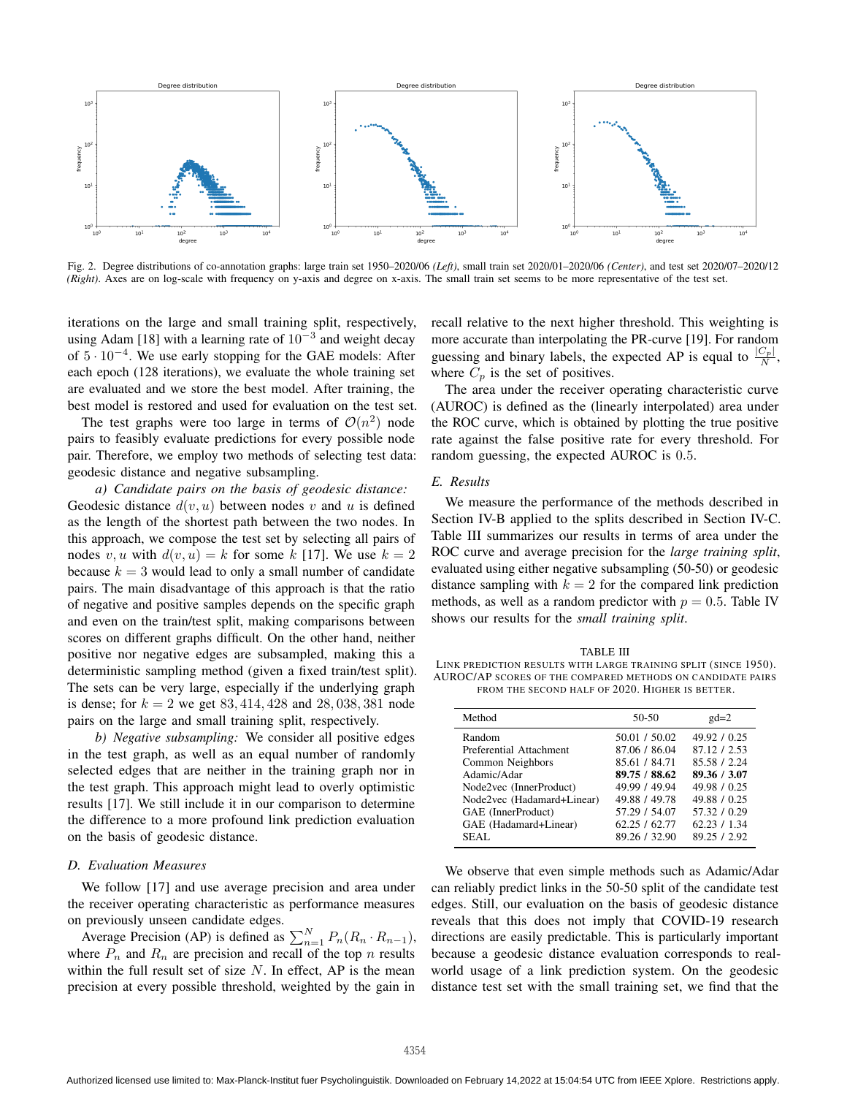

Fig. 2. Degree distributions of co-annotation graphs: large train set 1950–2020/06 *(Left)*, small train set 2020/01–2020/06 *(Center)*, and test set 2020/07–2020/12 *(Right)*. Axes are on log-scale with frequency on y-axis and degree on x-axis. The small train set seems to be more representative of the test set.

iterations on the large and small training split, respectively, using Adam [18] with a learning rate of  $10^{-3}$  and weight decay of  $5 \cdot 10^{-4}$ . We use early stopping for the GAE models: After each epoch (128 iterations), we evaluate the whole training set are evaluated and we store the best model. After training, the best model is restored and used for evaluation on the test set.

The test graphs were too large in terms of  $\mathcal{O}(n^2)$  node pairs to feasibly evaluate predictions for every possible node pair. Therefore, we employ two methods of selecting test data: geodesic distance and negative subsampling.

*a) Candidate pairs on the basis of geodesic distance:* Geodesic distance  $d(v, u)$  between nodes v and u is defined as the length of the shortest path between the two nodes. In this approach, we compose the test set by selecting all pairs of nodes v, u with  $d(v, u) = k$  for some k [17]. We use  $k = 2$ because  $k = 3$  would lead to only a small number of candidate pairs. The main disadvantage of this approach is that the ratio of negative and positive samples depends on the specific graph and even on the train/test split, making comparisons between scores on different graphs difficult. On the other hand, neither positive nor negative edges are subsampled, making this a deterministic sampling method (given a fixed train/test split). The sets can be very large, especially if the underlying graph is dense; for  $k = 2$  we get 83, 414, 428 and 28, 038, 381 node pairs on the large and small training split, respectively.

*b) Negative subsampling:* We consider all positive edges in the test graph, as well as an equal number of randomly selected edges that are neither in the training graph nor in the test graph. This approach might lead to overly optimistic results [17]. We still include it in our comparison to determine the difference to a more profound link prediction evaluation on the basis of geodesic distance.

# *D. Evaluation Measures*

We follow [17] and use average precision and area under the receiver operating characteristic as performance measures on previously unseen candidate edges.

Average Precision (AP) is defined as  $\sum_{n=1}^{N} P_n(R_n \cdot R_{n-1}),$ where  $P_n$  and  $R_n$  are precision and recall of the top n results within the full result set of size  $N$ . In effect, AP is the mean precision at every possible threshold, weighted by the gain in

recall relative to the next higher threshold. This weighting is more accurate than interpolating the PR-curve [19]. For random guessing and binary labels, the expected AP is equal to  $\frac{|C_p|}{N}$ , where  $C_p$  is the set of positives.

The area under the receiver operating characteristic curve (AUROC) is defined as the (linearly interpolated) area under the ROC curve, which is obtained by plotting the true positive rate against the false positive rate for every threshold. For random guessing, the expected AUROC is 0.5.

## *E. Results*

We measure the performance of the methods described in Section IV-B applied to the splits described in Section IV-C. Table III summarizes our results in terms of area under the ROC curve and average precision for the *large training split*, evaluated using either negative subsampling (50-50) or geodesic distance sampling with  $k = 2$  for the compared link prediction methods, as well as a random predictor with  $p = 0.5$ . Table IV shows our results for the *small training split*.

TABLE III LINK PREDICTION RESULTS WITH LARGE TRAINING SPLIT (SINCE 1950). AUROC/AP SCORES OF THE COMPARED METHODS ON CANDIDATE PAIRS FROM THE SECOND HALF OF 2020. HIGHER IS BETTER.

| Method                     | 50-50         | $gd=2$       |
|----------------------------|---------------|--------------|
| Random                     | 50.01 / 50.02 | 49.92 / 0.25 |
| Preferential Attachment    | 87.06 / 86.04 | 87.12 / 2.53 |
| Common Neighbors           | 85.61 / 84.71 | 85.58 / 2.24 |
| Adamic/Adar                | 89.75 / 88.62 | 89.36 / 3.07 |
| Node2vec (InnerProduct)    | 49.99 / 49.94 | 49.98 / 0.25 |
| Node2vec (Hadamard+Linear) | 49.88 / 49.78 | 49.88 / 0.25 |
| GAE (InnerProduct)         | 57.29 / 54.07 | 57.32 / 0.29 |
| GAE (Hadamard+Linear)      | 62.25/62.77   | 62.23 / 1.34 |
| SEAL.                      | 89.26 / 32.90 | 89.25 / 2.92 |
|                            |               |              |

We observe that even simple methods such as Adamic/Adar can reliably predict links in the 50-50 split of the candidate test edges. Still, our evaluation on the basis of geodesic distance reveals that this does not imply that COVID-19 research directions are easily predictable. This is particularly important because a geodesic distance evaluation corresponds to realworld usage of a link prediction system. On the geodesic distance test set with the small training set, we find that the